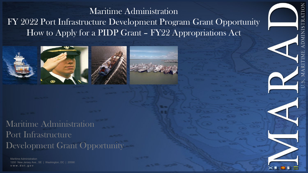# Maritime Administration FY 2022 Port Infrastructure Development Program Grant Opportunity How to Apply for a PIDP Grant – FY22 Appropriations Act





# Maritime Administration Port Infrastructure Development Grant Opportunity

Maritime Administration 1200 New Jersey Ave., SE | Washington, DC | 20590 w **w w . d o t . g o v**

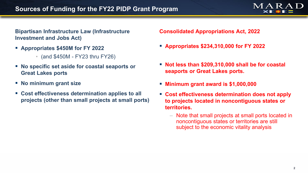

#### **Bipartisan Infrastructure Law (Infrastructure Investment and Jobs Act)**

- **Appropriates \$450M for FY 2022** 
	- $\bullet$  (and \$450M FY23 thru FY26)
- **No specific set aside for coastal seaports or Great Lakes ports**
- **No minimum grant size**
- **Cost effectiveness determination applies to all projects (other than small projects at small ports)**

**Consolidated Appropriations Act, 2022**

- **Appropriates \$234,310,000 for FY 2022**
- **Not less than \$209,310,000 shall be for coastal seaports or Great Lakes ports.**
- **Minimum grant award is \$1,000,000**
- **Cost effectiveness determination does not apply to projects located in noncontiguous states or territories.**
	- Note that small projects at small ports located in noncontiguous states or territories are still subject to the economic vitality analysis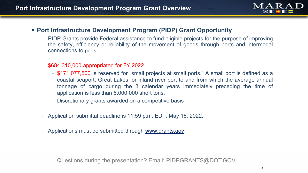

# **Port Infrastructure Development Program (PIDP) Grant Opportunity**

- PIDP Grants provide Federal assistance to fund eligible projects for the purpose of improving the safety, efficiency or reliability of the movement of goods through ports and intermodal connections to ports.
- \$684,310,000 appropriated for FY 2022.
	- \$171,077,500 is reserved for "small projects at small ports." A small port is defined as a coastal seaport, Great Lakes, or inland river port to and from which the average annual tonnage of cargo during the 3 calendar years immediately preceding the time of application is less than 8,000,000 short tons.
	- Discretionary grants awarded on a competitive basis
- Application submittal deadline is 11:59 p.m. EDT, May 16, 2022.
- Applications must be submitted through [www.grants.gov.](http://www.grants.gov/)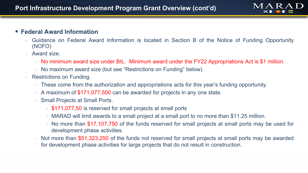## **Federal Award Information**

- Guidance on Federal Award Information is located in Section B of the Notice of Funding Opportunity (NOFO)
- Award size.
	- No minimum award size under BIL. Minimum award under the FY22 Appropriations Act is \$1 million.
	- No maximum award size (but see "Restrictions on Funding" below).
- Restrictions on Funding.
	- These come from the authorization and appropriations acts for this year's funding opportunity.
	- A maximum of \$171,077,500 can be awarded for projects in any one state.
	- Small Projects at Small Ports.
		- \$171,077,50 is reserved for small projects at small ports
		- MARAD will limit awards to a small project at a small port to no more than \$11.25 million.
		- No more than \$17,107,750 of the funds reserved for small projects at small ports may be used for development phase activities.
	- Not more than \$51,323,250 of the funds not reserved for small projects at small ports may be awarded for development phase activities for large projects that do not result in construction.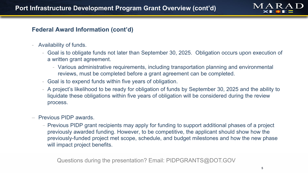- Availability of funds.
	- Goal is to obligate funds not later than September 30, 2025. Obligation occurs upon execution of a written grant agreement.
		- Various administrative requirements, including transportation planning and environmental reviews, must be completed before a grant agreement can be completed.
	- Goal is to expend funds within five years of obligation.
	- A project's likelihood to be ready for obligation of funds by September 30, 2025 and the ability to liquidate these obligations within five years of obligation will be considered during the review process.
- Previous PIDP awards.
	- Previous PIDP grant recipients may apply for funding to support additional phases of a project previously awarded funding. However, to be competitive, the applicant should show how the previously-funded project met scope, schedule, and budget milestones and how the new phase will impact project benefits.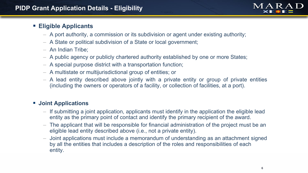# **Eligible Applicants**

- A port authority, a commission or its subdivision or agent under existing authority;
- A State or political subdivision of a State or local government;
- An Indian Tribe;
- A public agency or publicly chartered authority established by one or more States;
- A special purpose district with a transportation function;
- A multistate or multijurisdictional group of entities; or
- A lead entity described above jointly with a private entity or group of private entities (including the owners or operators of a facility, or collection of facilities, at a port).

# **Joint Applications**

- If submitting a joint application, applicants must identify in the application the eligible lead entity as the primary point of contact and identify the primary recipient of the award.
- The applicant that will be responsible for financial administration of the project must be an eligible lead entity described above (i.e., not a private entity).
- Joint applications must include a memorandum of understanding as an attachment signed by all the entities that includes a description of the roles and responsibilities of each entity.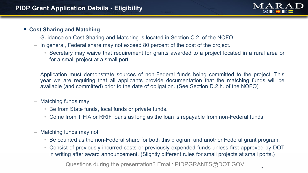# **Cost Sharing and Matching**

- Guidance on Cost Sharing and Matching is located in Section C.2. of the NOFO.
- In general, Federal share may not exceed 80 percent of the cost of the project.
	- Secretary may waive that requirement for grants awarded to a project located in a rural area or for a small project at a small port.
- Application must demonstrate sources of non-Federal funds being committed to the project. This year we are requiring that all applicants provide documentation that the matching funds will be available (and committed) prior to the date of obligation. (See Section D.2.h. of the NOFO)
- Matching funds may:
	- Be from State funds, local funds or private funds.
	- Come from TIFIA or RRIF loans as long as the loan is repayable from non-Federal funds.
- Matching funds may not:
	- Be counted as the non-Federal share for both this program and another Federal grant program.
	- Consist of previously-incurred costs or previously-expended funds unless first approved by DOT in writing after award announcement. (Slightly different rules for small projects at small ports.)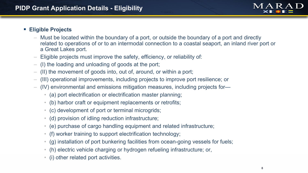# **Eligible Projects**

- Must be located within the boundary of a port, or outside the boundary of a port and directly related to operations of or to an intermodal connection to a coastal seaport, an inland river port or a Great Lakes port.
- Eligible projects must improve the safety, efficiency, or reliability of:
- (I) the loading and unloading of goods at the port;
- (II) the movement of goods into, out of, around, or within a port;
- (III) operational improvements, including projects to improve port resilience; or
- (IV) environmental and emissions mitigation measures, including projects for—
	- (a) port electrification or electrification master planning;
	- (b) harbor craft or equipment replacements or retrofits;
	- (c) development of port or terminal microgrids;
	- (d) provision of idling reduction infrastructure;
	- (e) purchase of cargo handling equipment and related infrastructure;
	- (f) worker training to support electrification technology;
	- (g) installation of port bunkering facilities from ocean-going vessels for fuels;
	- (h) electric vehicle charging or hydrogen refueling infrastructure; or,
	- (i) other related port activities.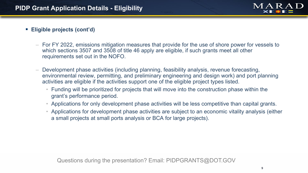

# **Eligible projects (cont'd)**

- For FY 2022, emissions mitigation measures that provide for the use of shore power for vessels to which sections 3507 and 3508 of title 46 apply are eligible, if such grants meet all other requirements set out in the NOFO.
- Development phase activities (including planning, feasibility analysis, revenue forecasting, environmental review, permitting, and preliminary engineering and design work) and port planning activities are eligible if the activities support one of the eligible project types listed.
	- Funding will be prioritized for projects that will move into the construction phase within the grant's performance period.
	- Applications for only development phase activities will be less competitive than capital grants.
	- Applications for development phase activities are subject to an economic vitality analysis (either a small projects at small ports analysis or BCA for large projects).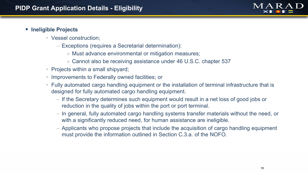# **Ineligible Projects**

- Vessel construction;
	- Exceptions (requires a Secretarial determination):
		- » Must advance environmental or mitigation measures;
		- » Cannot also be receiving assistance under 46 U.S.C. chapter 537
- Projects within a small shipyard;
- Improvements to Federally owned facilities; or
- Fully automated cargo handling equipment or the installation of terminal infrastructure that is designed for fully automated cargo handling equipment.
	- If the Secretary determines such equipment would result in a net loss of good jobs or reduction in the quality of jobs within the port or port terminal.
	- In general, fully automated cargo handling systems transfer materials without the need, or with a significantly reduced need, for human assistance are ineligible.
	- Applicants who propose projects that include the acquisition of cargo handling equipment must provide the information outlined in Section C.3.a. of the NOFO.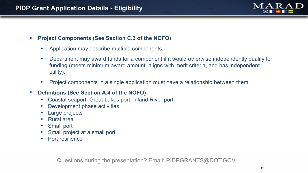- **Project Components (See Section C.3 of the NOFO)** 
	- Application may describe multiple components.
	- Department may award funds for a component if it would otherwise independently qualify for funding (meets minimum award amount, aligns with merit criteria, and has independent utility).
	- Project components in a single application must have a relationship between them.

# **Definitions (See Section A.4 of the NOFO)**

- Coastal seaport, Great Lakes port, Inland River port
- Development phase activities
- Large projects
- Rural area
- Small port
- Small project at a small port
- Port resilience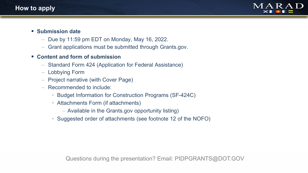

#### **E** Submission date

- $-$  Due by 11:59 pm EDT on Monday, May 16, 2022.
- Grant applications must be submitted through Grants.gov.

# **Content and form of submission**

- Standard Form 424 (Application for Federal Assistance)
- Lobbying Form
- Project narrative (with Cover Page)
- Recommended to include:
	- Budget Information for Construction Programs (SF-424C)
	- Attachments Form (if attachments)
		- Available in the Grants.gov opportunity listing)
	- Suggested order of attachments (see footnote 12 of the NOFO)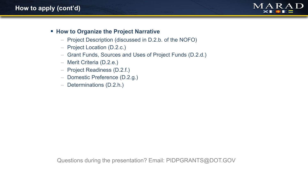

#### ■ How to Organize the Project Narrative

- Project Description (discussed in D.2.b. of the NOFO)
- Project Location (D.2.c.)
- Grant Funds, Sources and Uses of Project Funds (D.2.d.)
- Merit Criteria (D.2.e.)
- Project Readiness (D.2.f.)
- Domestic Preference (D.2.g.)
- Determinations (D.2.h.)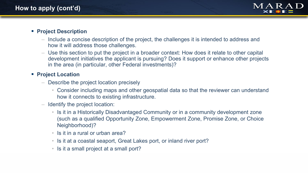

#### **Project Description**

- Include a concise description of the project, the challenges it is intended to address and how it will address those challenges.
- Use this section to put the project in a broader context: How does it relate to other capital development initiatives the applicant is pursuing? Does it support or enhance other projects in the area (in particular, other Federal investments)?

#### **Project Location**

- Describe the project location precisely
	- Consider including maps and other geospatial data so that the reviewer can understand how it connects to existing infrastructure.
- Identify the project location:
	- Is it in a Historically Disadvantaged Community or in a community development zone (such as a qualified Opportunity Zone, Empowerment Zone, Promise Zone, or Choice Neighborhood)?
	- Is it in a rural or urban area?
	- Is it at a coastal seaport, Great Lakes port, or inland river port?
	- Is it a small project at a small port?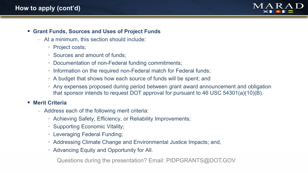

#### **Grant Funds, Sources and Uses of Project Funds**

- At a minimum, this section should include:
	- Project costs;
	- Sources and amount of funds;
	- Documentation of non-Federal funding commitments;
	- Information on the required non-Federal match for Federal funds;
	- A budget that shows how each source of funds will be spent; and
	- Any expenses proposed during period between grant award announcement and obligation that sponsor intends to request DOT approval for pursuant to 46 USC 54301(a)(10)(B).

# **Merit Criteria**

- Address each of the following merit criteria:
	- Achieving Safety, Efficiency, or Reliability Improvements;
	- Supporting Economic Vitality;
	- Leveraging Federal Funding;
	- Addressing Climate Change and Environmental Justice Impacts; and,
	- Advancing Equity and Opportunity for All.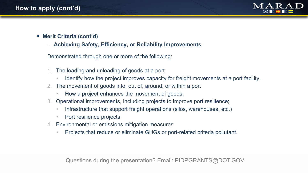

- **Merit Criteria (cont'd)** 
	- **Achieving Safety, Efficiency, or Reliability Improvements**

Demonstrated through one or more of the following:

- 1. The loading and unloading of goods at a port
	- Identify how the project improves capacity for freight movements at a port facility.
- 2. The movement of goods into, out of, around, or within a port
	- How a project enhances the movement of goods.
- 3. Operational improvements, including projects to improve port resilience;
	- Infrastructure that support freight operations (silos, warehouses, etc.)
	- Port resilience projects
- 4. Environmental or emissions mitigation measures
	- Projects that reduce or eliminate GHGs or port-related criteria pollutant.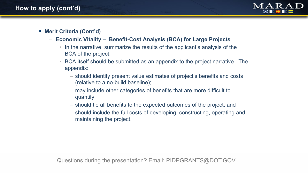

- **Merit Criteria (Cont'd)**
	- **Economic Vitality – Benefit-Cost Analysis (BCA) for Large Projects**
		- In the narrative, summarize the results of the applicant's analysis of the BCA of the project.
		- BCA itself should be submitted as an appendix to the project narrative. The appendix:
			- should identify present value estimates of project's benefits and costs (relative to a no-build baseline);
			- may include other categories of benefits that are more difficult to quantify;
			- should tie all benefits to the expected outcomes of the project; and
			- should include the full costs of developing, constructing, operating and maintaining the project.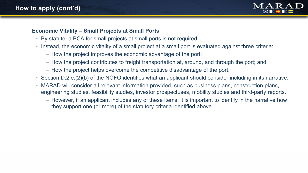

- **Economic Vitality – Small Projects at Small Ports**
	- By statute, a BCA for small projects at small ports is not required.
	- Instead, the economic vitality of a small project at a small port is evaluated against three criteria:
		- How the project improves the economic advantage of the port;
		- How the project contributes to freight transportation at, around, and through the port; and,
		- How the project helps overcome the competitive disadvantage of the port.
	- Section D.2.e.(2)(b) of the NOFO identifies what an applicant should consider including in its narrative.
	- MARAD will consider all relevant information provided, such as business plans, construction plans, engineering studies, feasibility studies, investor prospectuses, mobility studies and third-party reports.
		- However, if an applicant includes any of these items, it is important to identify in the narrative how they support one (or more) of the statutory criteria identified above.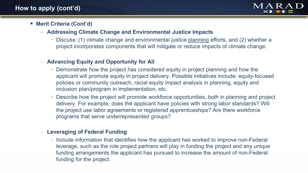

#### **Merit Criteria (Cont'd)**

#### – **Addressing Climate Change and Environmental Justice Impacts**

• Discuss: (1) climate change and environmental justice planning efforts, and (2) whether a project incorporates components that will mitigate or reduce impacts of climate change.

#### – **Advancing Equity and Opportunity for All**

- Demonstrate how the project has considered equity in project planning and how the applicant will promote equity in project delivery. Possible initiatives include: equity-focused policies or community outreach, racial equity impact analysis in planning, equity and inclusion plan/program in implementation, etc.
- Describe how the project will promote workforce opportunities, both in planning and project delivery. For example, does the applicant have policies with strong labor standards? Will the project use labor agreements or registered apprenticeships? Are there workforce programs that serve underrepresented groups?

#### – **Leveraging of Federal Funding**

• Include information that identifies how the applicant has worked to improve non-Federal leverage, such as the role project partners will play in funding the project and any unique funding arrangements the applicant has pursued to increase the amount of non-Federal funding for the project.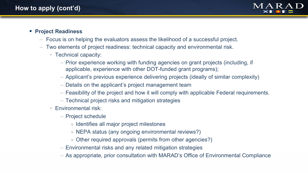

#### **Project Readiness**

- Focus is on helping the evaluators assess the likelihood of a successful project.
- Two elements of project readiness: technical capacity and environmental risk.
	- Technical capacity:
		- Prior experience working with funding agencies on grant projects (including, if applicable, experience with other DOT-funded grant programs);
		- Applicant's previous experience delivering projects (ideally of similar complexity)
		- Details on the applicant's project management team
		- Feasibility of the project and how it will comply with applicable Federal requirements.
		- Technical project risks and mitigation strategies
	- Environmental risk:
		- Project schedule
			- » Identifies all major project milestones
			- » NEPA status (any ongoing environmental reviews?)
			- » Other required approvals (permits from other agencies?)
		- Environmental risks and any related mitigation strategies
		- As appropriate, prior consultation with MARAD's Office of Environmental Compliance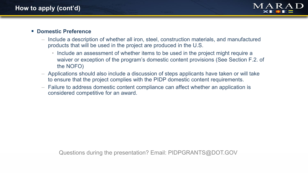

#### **Domestic Preference**

- Include a description of whether all iron, steel, construction materials, and manufactured products that will be used in the project are produced in the U.S.
	- Include an assessment of whether items to be used in the project might require a waiver or exception of the program's domestic content provisions (See Section F.2. of the NOFO)
- Applications should also include a discussion of steps applicants have taken or will take to ensure that the project complies with the PIDP domestic content requirements.
- Failure to address domestic content compliance can affect whether an application is considered competitive for an award.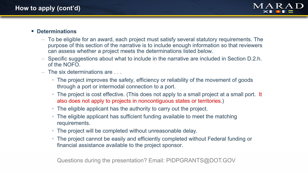

#### **Determinations**

- To be eligible for an award, each project must satisfy several statutory requirements. The purpose of this section of the narrative is to include enough information so that reviewers can assess whether a project meets the determinations listed below.
- Specific suggestions about what to include in the narrative are included in Section D.2.h. of the NOFO.
- The six determinations are . . .
	- The project improves the safety, efficiency or reliability of the movement of goods through a port or intermodal connection to a port.
	- The project is cost effective. (This does not apply to a small project at a small port. It also does not apply to projects in noncontiguous states or territories.)
	- The eligible applicant has the authority to carry out the project.
	- The eligible applicant has sufficient funding available to meet the matching requirements.
	- The project will be completed without unreasonable delay.
	- The project cannot be easily and efficiently completed without Federal funding or financial assistance available to the project sponsor.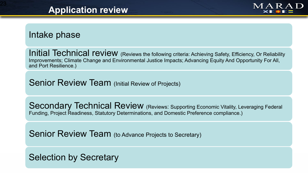

# Intake phase

Initial Technical review (Reviews the following criteria: Achieving Safety, Efficiency, Or Reliability Improvements; Climate Change and Environmental Justice Impacts; Advancing Equity And Opportunity For All, and Port Resilience.)

Senior Review Team (Initial Review of Projects)

Secondary Technical Review (Reviews: Supporting Economic Vitality, Leveraging Federal Funding, Project Readiness, Statutory Determinations, and Domestic Preference compliance.)

Senior Review Team (to Advance Projects to Secretary)

Selection by Secretary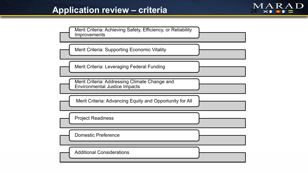**RAD** 

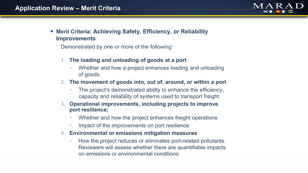# **Application Review – Merit Criteria**



# **Merit Criteria: Achieving Safety, Efficiency, or Reliability Improvements**

Demonstrated by one or more of the following:

- **1. The loading and unloading of goods at a port**
	- Whether and how a project enhances loading and unloading of goods.

#### **2. The movement of goods into, out of, around, or within a port**

- The project's demonstrated ability to enhance the efficiency, capacity and reliability of systems used to transport freight.
- **3. Operational improvements, including projects to improve port resilience;**
	- Whether and how the project enhances freight operations
	- Impact of the improvements on port resilience
- **4. Environmental or emissions mitigation measures**
	- How the project reduces or eliminates port-related pollutants. Reviewers will assess whether there are quantifiable impacts on emissions or environmental conditions.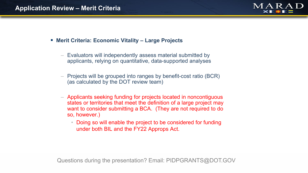

#### **Merit Criteria: Economic Vitality – Large Projects**

- Evaluators will independently assess material submitted by applicants, relying on quantitative, data-supported analyses
- Projects will be grouped into ranges by benefit-cost ratio (BCR) (as calculated by the DOT review team)
- Applicants seeking funding for projects located in noncontiguous states or territories that meet the definition of a large project may want to consider submitting a BCA. (They are not required to do so, however.)
	- Doing so will enable the project to be considered for funding under both BIL and the FY22 Approps Act.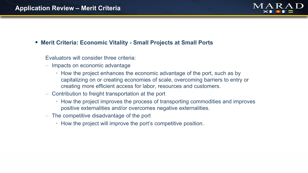

# **Merit Criteria: Economic Vitality - Small Projects at Small Ports**

Evaluators will consider three criteria:

- Impacts on economic advantage
	- How the project enhances the economic advantage of the port, such as by capitalizing on or creating economies of scale, overcoming barriers to entry or creating more efficient access for labor, resources and customers.
- Contribution to freight transportation at the port
	- How the project improves the process of transporting commodities and improves positive externalities and/or overcomes negative externalities.
- The competitive disadvantage of the port
	- How the project will improve the port's competitive position.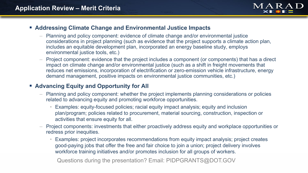

#### **Addressing Climate Change and Environmental Justice Impacts**

- Planning and policy component: evidence of climate change and/or environmental justice considerations in project planning (such as evidence that the project supports a climate action plan, includes an equitable development plan, incorporated an energy baseline study, employs environmental justice tools, etc.)
- Project component: evidence that the project includes a component (or components) that has a direct impact on climate change and/or environmental justice (such as a shift in freight movements that reduces net emissions, incorporation of electrification or zero-emission vehicle infrastructure, energy demand management, positive impacts on environmental justice communities, etc.)

## **Advancing Equity and Opportunity for All**

- Planning and policy component: whether the project implements planning considerations or policies related to advancing equity and promoting workforce opportunities.
	- Examples: equity-focused policies; racial equity impact analysis; equity and inclusion plan/program; policies related to procurement, material sourcing, construction, inspection or activities that ensure equity for all.
- Project components: investments that either proactively address equity and workplace opportunities or redress prior inequities.
	- Examples: project incorporates recommendations from equity impact analysis; project creates good-paying jobs that offer the free and fair choice to join a union; project delivery involves workforce training initiatives and/or promotes inclusion for all groups of workers.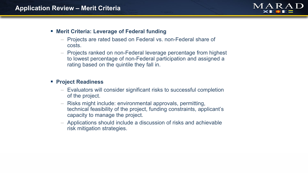

#### **Merit Criteria: Leverage of Federal funding**

- Projects are rated based on Federal vs. non-Federal share of costs.
- Projects ranked on non-Federal leverage percentage from highest to lowest percentage of non-Federal participation and assigned a rating based on the quintile they fall in.

#### **Project Readiness**

- Evaluators will consider significant risks to successful completion of the project.
- Risks might include: environmental approvals, permitting, technical feasibility of the project, funding constraints, applicant's capacity to manage the project.
- Applications should include a discussion of risks and achievable risk mitigation strategies.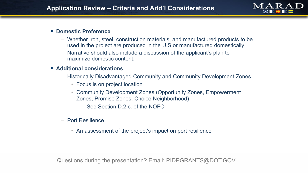

#### **Domestic Preference**

- Whether iron, steel, construction materials, and manufactured products to be used in the project are produced in the U.S.or manufactured domestically
- Narrative should also include a discussion of the applicant's plan to maximize domestic content.

#### **Additional considerations**

- Historically Disadvantaged Community and Community Development Zones
	- Focus is on project location
	- Community Development Zones (Opportunity Zones, Empowerment Zones, Promise Zones, Choice Neighborhood)
		- See Section D.2.c. of the NOFO
- Port Resilience
	- An assessment of the project's impact on port resilience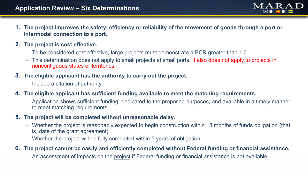- **1. The project improves the safety, efficiency or reliability of the movement of goods through a port or intermodal connection to a port.**
- **2. The project is cost effective.**
	- To be considered cost effective, large projects must demonstrate a BCR greater than 1.0
	- This determination does not apply to small projects at small ports. It also does not apply to projects in noncontiguous states or territories.
- **3. The eligible applicant has the authority to carry out the project.**
	- Include a citation of authority
- **4. The eligible applicant has sufficient funding available to meet the matching requirements.**
	- Application shows sufficient funding, dedicated to the proposed purposes, and available in a timely manner to meet matching requirements
- **5. The project will be completed without unreasonable delay.** 
	- Whether the project is reasonably expected to begin construction within 18 months of funds obligation (that is, date of the grant agreement)
	- Whether the project will be fully completed within 5 years of obligation
- **6. The project cannot be easily and efficiently completed without Federal funding or financial assistance.** 
	- An assessment of impacts on the project if Federal funding or financial assistance is not available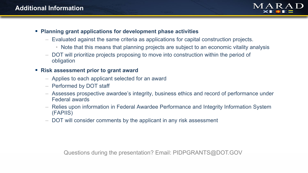

- **Planning grant applications for development phase activities**
	- Evaluated against the same criteria as applications for capital construction projects.
		- Note that this means that planning projects are subject to an economic vitality analysis
	- DOT will prioritize projects proposing to move into construction within the period of obligation

#### **Risk assessment prior to grant award**

- Applies to each applicant selected for an award
- Performed by DOT staff
- Assesses prospective awardee's integrity, business ethics and record of performance under Federal awards
- Relies upon information in Federal Awardee Performance and Integrity Information System (FAPIIS)
- DOT will consider comments by the applicant in any risk assessment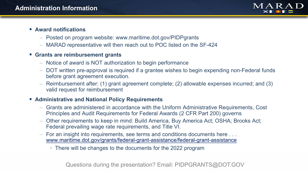

#### **Award notifications**

- Posted on program website: www.maritime.dot.gov/PIDPgrants
- MARAD representative will then reach out to POC listed on the SF-424

### **Grants are reimbursement grants**

- Notice of award is NOT authorization to begin performance
- DOT written pre-approval is required if a grantee wishes to begin expending non-Federal funds before grant agreement execution.
- Reimbursement after: (1) grant agreement complete; (2) allowable expenses incurred; and (3) valid request for reimbursement

#### **EXADMINISTATIVE AND MATE ADDITIONAL POLICY Requirements**

- Grants are administered in accordance with the Uniform Administrative Requirements, Cost Principles and Audit Requirements for Federal Awards (2 CFR Part 200) governs
- Other requirements to keep in mind: Build America, Buy America Act; OSHA; Brooks Act; Federal prevailing wage rate requirements, and Title VI.
- For an insight into requirements, see terms and conditions documents here . . . [www.maritime.dot.gov/grants/federal-grant-assistance/federal-grant-assistance](http://www.maritime.dot.gov/grants/federal-grant-assistance/federal-grant-assistance)
	- There will be changes to the documents for the 2022 program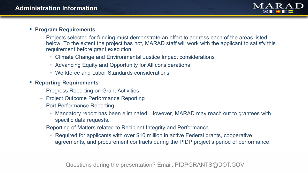

#### **Program Requirements**

- Projects selected for funding must demonstrate an effort to address each of the areas listed below. To the extent the project has not, MARAD staff will work with the applicant to satisfy this requirement before grant execution.
	- Climate Change and Environmental Justice Impact considerations
	- Advancing Equity and Opportunity for All considerations
	- Workforce and Labor Standards considerations

#### **Reporting Requirements**

- Progress Reporting on Grant Activities
- Project Outcome Performance Reporting
- Port Performance Reporting
	- Mandatory report has been eliminated. However, MARAD may reach out to grantees with specific data requests.
- Reporting of Matters related to Recipient Integrity and Performance
	- Required for applicants with over \$10 million in active Federal grants, cooperative agreements, and procurement contracts during the PIDP project's period of performance.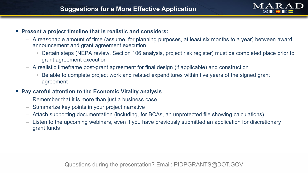#### **Present a project timeline that is realistic and considers:**

- A reasonable amount of time (assume, for planning purposes, at least six months to a year) between award announcement and grant agreement execution
	- Certain steps (NEPA review, Section 106 analysis, project risk register) must be completed place prior to grant agreement execution
- A realistic timeframe post-grant agreement for final design (if applicable) and construction
	- Be able to complete project work and related expenditures within five years of the signed grant agreement

## **Pay careful attention to the Economic Vitality analysis**

- Remember that it is more than just a business case
- Summarize key points in your project narrative
- Attach supporting documentation (including, for BCAs, an unprotected file showing calculations)
- Listen to the upcoming webinars, even if you have previously submitted an application for discretionary grant funds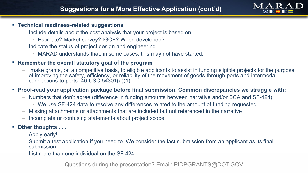# **Technical readiness-related suggestions**

- Include details about the cost analysis that your project is based on
	- Estimate? Market survey? IGCE? When developed?
- Indicate the status of project design and engineering
	- MARAD understands that, in some cases, this may not have started.

# **Remember the overall statutory goal of the program**

– "make grants, on a competitive basis, to eligible applicants to assist in funding eligible projects for the purpose of improving the safety, efficiency, or reliability of the movement of goods through ports and intermodal connections to ports" 46 USC 54301(a)(1)

#### **Proof-read your application package before final submission. Common discrepancies we struggle with:**

- Numbers that don't agree (difference in funding amounts between narrative and/or BCA and SF-424)
	- We use SF-424 data to resolve any differences related to the amount of funding requested.
- Missing attachments or attachments that are included but not referenced in the narrative
- Incomplete or confusing statements about project scope.

# **Other thoughts . . .**

- Apply early!
- Submit a test application if you need to. We consider the last submission from an applicant as its final submission.
- List more than one individual on the SF 424.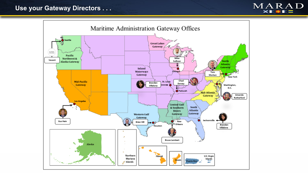# **Use your Gateway Directors . . .**



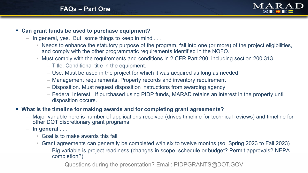

#### **Can grant funds be used to purchase equipment?**

- In general, yes. But, some things to keep in mind . . .
	- Needs to enhance the statutory purpose of the program, fall into one (or more) of the project eligibilities, and comply with the other programmatic requirements identified in the NOFO.
	- Must comply with the requirements and conditions in 2 CFR Part 200, including section 200.313
		- Title. Conditional title in the equipment.
		- Use. Must be used in the project for which it was acquired as long as needed
		- Management requirements. Property records and inventory requirement
		- Disposition. Must request disposition instructions from awarding agency.
		- Federal Interest. If purchased using PIDP funds, MARAD retains an interest in the property until disposition occurs.

#### **What is the timeline for making awards and for completing grant agreements?**

- Major variable here is number of applications received (drives timeline for technical reviews) and timeline for other DOT discretionary grant programs
- **In general . . .** 
	- Goal is to make awards this fall
	- Grant agreements can generally be completed w/in six to twelve months (so, Spring 2023 to Fall 2023)
		- Big variable is project readiness (changes in scope, schedule or budget? Permit approvals? NEPA completion?)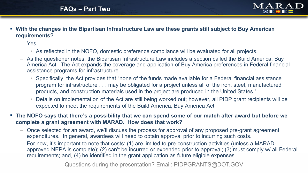

 **With the changes in the Bipartisan Infrastructure Law are these grants still subject to Buy American requirements?**

– Yes.

- As reflected in the NOFO, domestic preference compliance will be evaluated for all projects.
- As the questioner notes, the Bipartisan Infrastructure Law includes a section called the Build America, Buy America Act. The Act expands the coverage and application of Buy America preferences in Federal financial assistance programs for infrastructure.
	- Specifically, the Act provides that "none of the funds made available for a Federal financial assistance program for infrastructure . . . may be obligated for a project unless all of the iron, steel, manufactured products, and construction materials used in the project are produced in the United States."
	- Details on implementation of the Act are still being worked out; however, all PIDP grant recipients will be expected to meet the requirements of the Build America, Buy America Act.
- **The NOFO says that there's a possibility that we can spend some of our match after award but before we complete a grant agreement with MARAD. How does that work?**
	- Once selected for an award, we'll discuss the process for approval of any proposed pre-grant agreement expenditures. In general, awardees will need to obtain approval prior to incurring such costs.
	- For now, it's important to note that costs: (1) are limited to pre-construction activities (unless a MARADapproved NEPA is complete); (2) can't be incurred or expended prior to approval; (3) must comply w/ all Federal requirements; and, (4) be identified in the grant application as future eligible expenses.